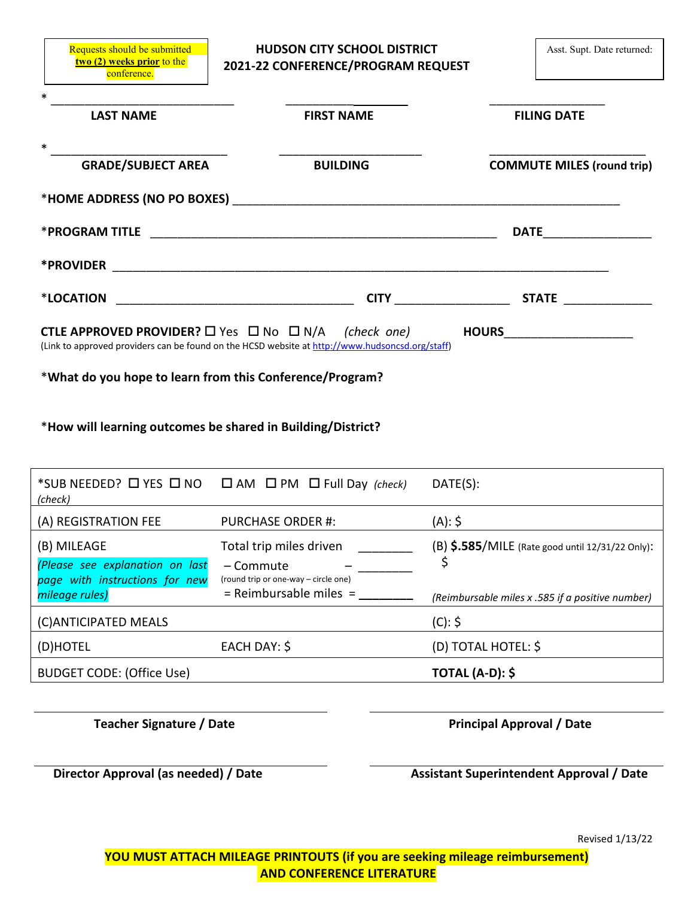**two (2) weeks prior** to the conference.

Requests should be submitted **The HUDSON CITY SCHOOL DISTRICT** Asst. Supt. Date returned: **2021-22 CONFERENCE/PROGRAM REQUEST**

| <b>LAST NAME</b>                                                                                                                                                                     | <b>FIRST NAME</b> |  | <b>FILING DATE</b>                  |
|--------------------------------------------------------------------------------------------------------------------------------------------------------------------------------------|-------------------|--|-------------------------------------|
| <b>GRADE/SUBJECT AREA</b>                                                                                                                                                            | <b>BUILDING</b>   |  | <b>COMMUTE MILES (round trip)</b>   |
|                                                                                                                                                                                      |                   |  |                                     |
| <b>*PROGRAM TITLE</b>                                                                                                                                                                |                   |  |                                     |
|                                                                                                                                                                                      |                   |  |                                     |
|                                                                                                                                                                                      |                   |  |                                     |
| <b>CTLE APPROVED PROVIDER?</b> $\Box$ Yes $\Box$ No $\Box$ N/A <i>(check one)</i><br>(Link to approved providers can be found on the HCSD website at http://www.hudsoncsd.org/staff) |                   |  | <b>HOURS_______________________</b> |
| *What do you hope to learn from this Conference/Program?                                                                                                                             |                   |  |                                     |
| *How will learning outcomes be shared in Building/District?                                                                                                                          |                   |  |                                     |
| <b>EXCURAGEDED DVEC DAO DAM DAM DEJIDOU (1)</b> DATE(C).                                                                                                                             |                   |  |                                     |

| *SUB NEEDED? □ YES □ NO<br>(check)                                               | $\Box$ AM $\Box$ PM $\Box$ Full Day (check)                                  | DATE(S):                                         |
|----------------------------------------------------------------------------------|------------------------------------------------------------------------------|--------------------------------------------------|
| (A) REGISTRATION FEE                                                             | <b>PURCHASE ORDER #:</b>                                                     | (A): \$                                          |
| (B) MILEAGE<br>(Please see explanation on last<br>page with instructions for new | Total trip miles driven<br>– Commute<br>(round trip or one-way – circle one) | (B) \$.585/MILE (Rate good until 12/31/22 Only): |
| mileage rules)                                                                   | $=$ Reimbursable miles $=$                                                   | (Reimbursable miles x .585 if a positive number) |
| (C) ANTICIPATED MEALS                                                            |                                                                              | (C): 5                                           |
| (D)HOTEL                                                                         | EACH DAY: \$                                                                 | (D) TOTAL HOTEL: \$                              |
| <b>BUDGET CODE: (Office Use)</b>                                                 |                                                                              | <b>TOTAL (A-D): \$</b>                           |

 **Teacher Signature / Date** *Principal Approval* **/ Date** 

**Director Approval (as needed) / Date Assistant Superintendent Approval / Date**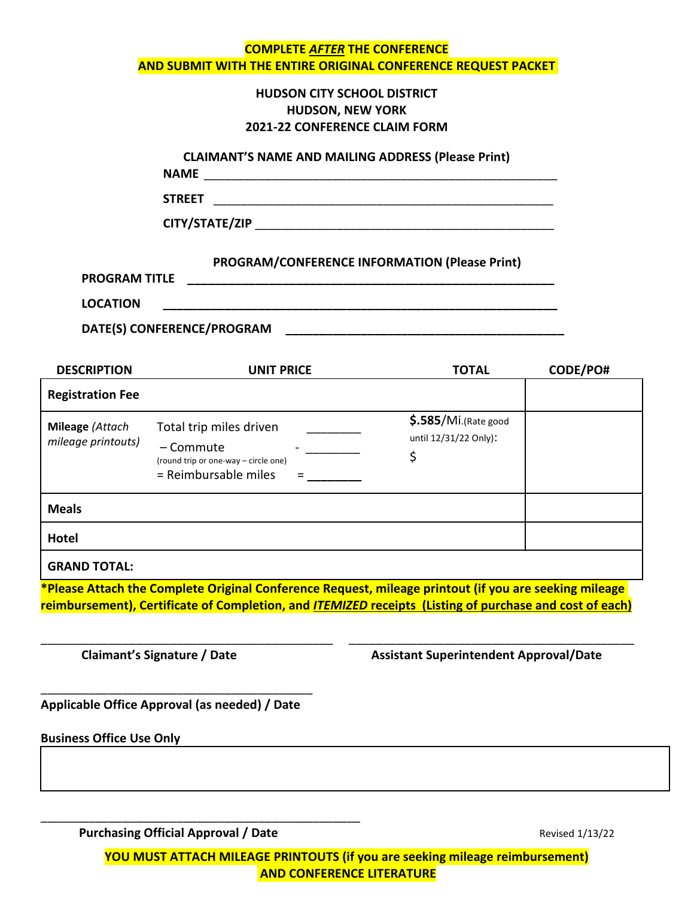|                                         |                                                                                                      | <b>COMPLETE AFTER THE CONFERENCE</b><br>AND SUBMIT WITH THE ENTIRE ORIGINAL CONFERENCE REQUEST PACKET                                                                                                                   |          |
|-----------------------------------------|------------------------------------------------------------------------------------------------------|-------------------------------------------------------------------------------------------------------------------------------------------------------------------------------------------------------------------------|----------|
|                                         |                                                                                                      | <b>HUDSON CITY SCHOOL DISTRICT</b><br><b>HUDSON, NEW YORK</b><br>2021-22 CONFERENCE CLAIM FORM                                                                                                                          |          |
|                                         |                                                                                                      | <b>CLAIMANT'S NAME AND MAILING ADDRESS (Please Print)</b>                                                                                                                                                               |          |
|                                         | <b>STREET</b>                                                                                        |                                                                                                                                                                                                                         |          |
|                                         |                                                                                                      |                                                                                                                                                                                                                         |          |
| <b>PROGRAM TITLE</b><br><b>LOCATION</b> |                                                                                                      | <b>PROGRAM/CONFERENCE INFORMATION (Please Print)</b>                                                                                                                                                                    |          |
|                                         | DATE(S) CONFERENCE/PROGRAM                                                                           |                                                                                                                                                                                                                         |          |
| <b>DESCRIPTION</b>                      | <b>UNIT PRICE</b>                                                                                    | <b>TOTAL</b>                                                                                                                                                                                                            | CODE/PO# |
| <b>Registration Fee</b>                 |                                                                                                      |                                                                                                                                                                                                                         |          |
| Mileage (Attach<br>mileage printouts)   | Total trip miles driven<br>- Commute<br>(round trip or one-way - circle one)<br>= Reimbursable miles | $$.585/Mi$ . (Rate good<br>until 12/31/22 Only):<br>\$                                                                                                                                                                  |          |
| <b>Meals</b>                            |                                                                                                      |                                                                                                                                                                                                                         |          |
| <b>Hotel</b>                            |                                                                                                      |                                                                                                                                                                                                                         |          |
| <b>GRAND TOTAL:</b>                     |                                                                                                      |                                                                                                                                                                                                                         |          |
|                                         |                                                                                                      | *Please Attach the Complete Original Conference Request, mileage printout (if you are seeking mileage<br>reimbursement), Certificate of Completion, and <i>ITEMIZED</i> receipts (Listing of purchase and cost of each) |          |
| Claimant's Signature / Date             |                                                                                                      | <b>Assistant Superintendent Approval/Date</b>                                                                                                                                                                           |          |
|                                         | Applicable Office Approval (as needed) / Date                                                        |                                                                                                                                                                                                                         |          |
| <b>Business Office Use Only</b>         |                                                                                                      |                                                                                                                                                                                                                         |          |
|                                         |                                                                                                      |                                                                                                                                                                                                                         |          |
|                                         |                                                                                                      |                                                                                                                                                                                                                         |          |
|                                         |                                                                                                      |                                                                                                                                                                                                                         |          |

**Purchasing Official Approval / Date Revised 1/13/22** Revised 1/13/22

**YOU MUST ATTACH MILEAGE PRINTOUTS (if you are seeking mileage reimbursement) AND CONFERENCE LITERATURE**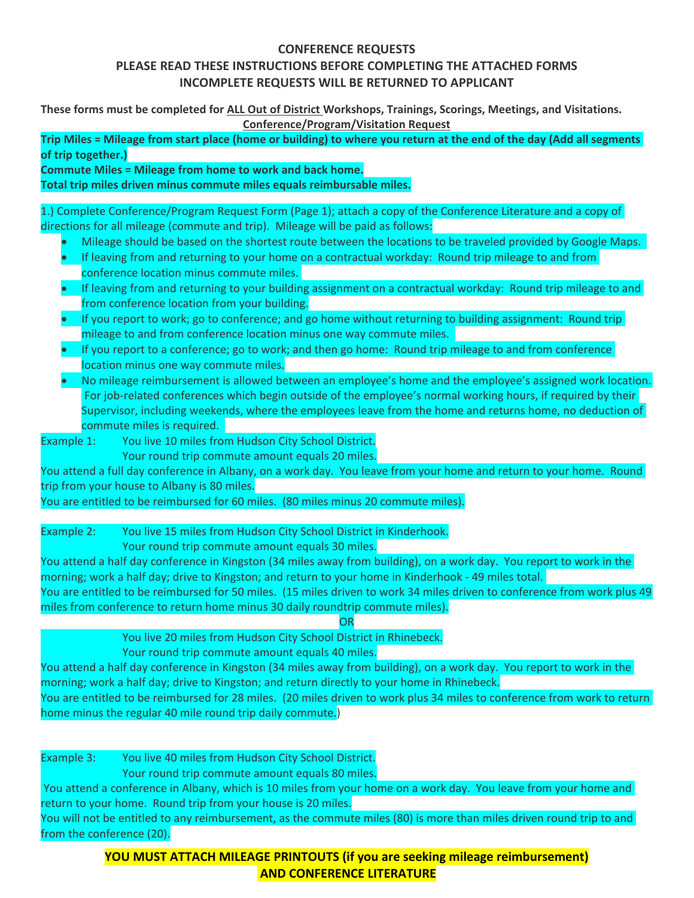# **CONFERENCE REQUESTS**

# **PLEASE READ THESE INSTRUCTIONS BEFORE COMPLETING THE ATTACHED FORMS INCOMPLETE REQUESTS WILL BE RETURNED TO APPLICANT**

**These forms must be completed for ALL Out of District Workshops, Trainings, Scorings, Meetings, and Visitations. Conference/Program/Visitation Request**

**Trip Miles = Mileage from start place (home or building) to where you return at the end of the day (Add all segments of trip together.)**

**Commute Miles = Mileage from home to work and back home.**

**Total trip miles driven minus commute miles equals reimbursable miles.**

1.) Complete Conference/Program Request Form (Page 1); attach a copy of the Conference Literature and a copy of directions for all mileage (commute and trip). Mileage will be paid as follows:

- Mileage should be based on the shortest route between the locations to be traveled provided by Google Maps.
- If leaving from and returning to your home on a contractual workday: Round trip mileage to and from conference location minus commute miles.
- If leaving from and returning to your building assignment on a contractual workday: Round trip mileage to and from conference location from your building.
- If you report to work; go to conference; and go home without returning to building assignment: Round trip mileage to and from conference location minus one way commute miles.
- If you report to a conference; go to work; and then go home: Round trip mileage to and from conference location minus one way commute miles.
- No mileage reimbursement is allowed between an employee's home and the employee's assigned work location. For job-related conferences which begin outside of the employee's normal working hours, if required by their Supervisor, including weekends, where the employees leave from the home and returns home, no deduction of commute miles is required.

Example 1: You live 10 miles from Hudson City School District. Your round trip commute amount equals 20 miles.

You attend a full day conference in Albany, on a work day. You leave from your home and return to your home. Round trip from your house to Albany is 80 miles.

You are entitled to be reimbursed for 60 miles. (80 miles minus 20 commute miles).

Example 2: You live 15 miles from Hudson City School District in Kinderhook.

Your round trip commute amount equals 30 miles.

You attend a half day conference in Kingston (34 miles away from building), on a work day. You report to work in the morning; work a half day; drive to Kingston; and return to your home in Kinderhook - 49 miles total.

You are entitled to be reimbursed for 50 miles. (15 miles driven to work 34 miles driven to conference from work plus 49 miles from conference to return home minus 30 daily roundtrip commute miles).

**OR** 

You live 20 miles from Hudson City School District in Rhinebeck.

Your round trip commute amount equals 40 miles.

You attend a half day conference in Kingston (34 miles away from building), on a work day. You report to work in the morning; work a half day; drive to Kingston; and return directly to your home in Rhinebeck.

You are entitled to be reimbursed for 28 miles. (20 miles driven to work plus 34 miles to conference from work to return home minus the regular 40 mile round trip daily commute.)

Example 3: You live 40 miles from Hudson City School District. Your round trip commute amount equals 80 miles. You attend a conference in Albany, which is 10 miles from your home on a work day. You leave from your home and return to your home. Round trip from your house is 20 miles. You will not be entitled to any reimbursement, as the commute miles (80) is more than miles driven round trip to and from the conference (20).

> **YOU MUST ATTACH MILEAGE PRINTOUTS (if you are seeking mileage reimbursement) AND CONFERENCE LITERATURE**